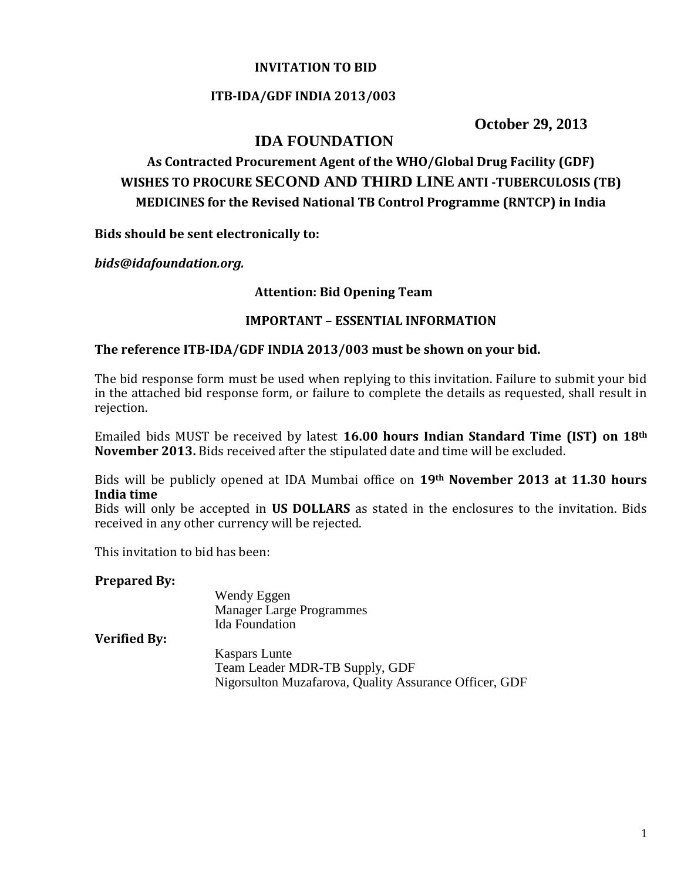### **INVITATION TO BID**

#### **ITB-IDA/GDF INDIA 2013/003**

**October 29, 2013**

## **IDA FOUNDATION**

# **As Contracted Procurement Agent of the WHO/Global Drug Facility (GDF) WISHES TO PROCURE SECOND AND THIRD LINE ANTI -TUBERCULOSIS (TB) MEDICINES for the Revised National TB Control Programme (RNTCP) in India**

**Bids should be sent electronically to:**

*bids@idafoundation.org.*

#### **Attention: Bid Opening Team**

#### **IMPORTANT – ESSENTIAL INFORMATION**

#### **The reference ITB-IDA/GDF INDIA 2013/003 must be shown on your bid.**

The bid response form must be used when replying to this invitation. Failure to submit your bid in the attached bid response form, or failure to complete the details as requested, shall result in rejection.

Emailed bids MUST be received by latest **16.00 hours Indian Standard Time (IST) on 18th November 2013.** Bids received after the stipulated date and time will be excluded.

Bids will be publicly opened at IDA Mumbai office on **19th November 2013 at 11.30 hours India time** 

Bids will only be accepted in **US DOLLARS** as stated in the enclosures to the invitation. Bids received in any other currency will be rejected.

This invitation to bid has been:

#### **Prepared By:**

|                     | Wendy Eggen                                            |
|---------------------|--------------------------------------------------------|
|                     | <b>Manager Large Programmes</b>                        |
|                     | <b>Ida</b> Foundation                                  |
| <b>Verified By:</b> |                                                        |
|                     | <b>Kaspars Lunte</b>                                   |
|                     | Team Leader MDR-TB Supply, GDF                         |
|                     | Nigorsulton Muzafarova, Quality Assurance Officer, GDF |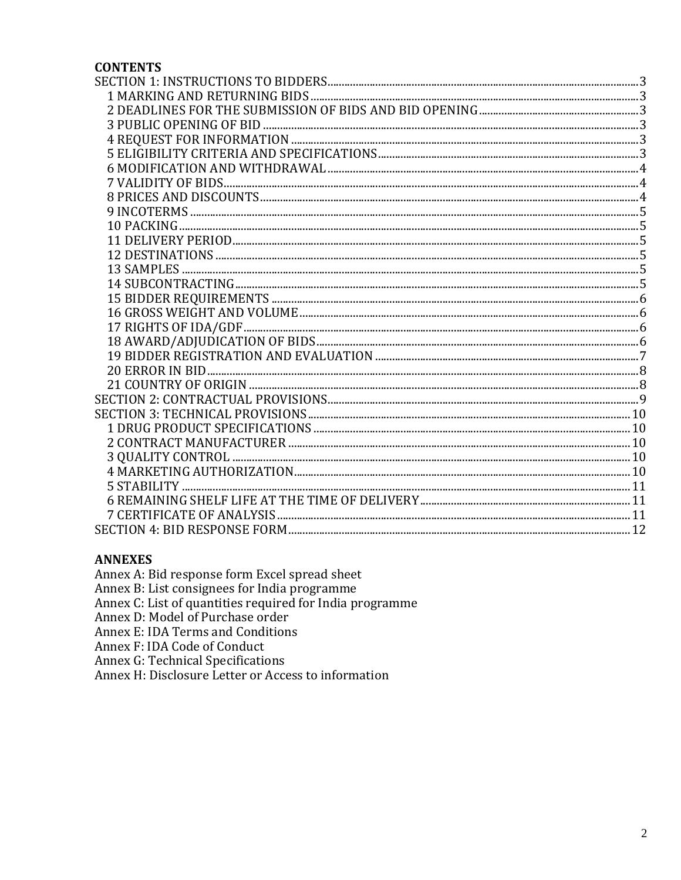#### **CONTENTS**

#### **ANNEXES**

Annex A: Bid response form Excel spread sheet<br>Annex B: List consignees for India programme

Annex C: List of quantities required for India programme<br>Annex D: Model of Purchase order

Annex E: IDA Terms and Conditions

Annex F: IDA Code of Conduct

Annex G: Technical Specifications

Annex H: Disclosure Letter or Access to information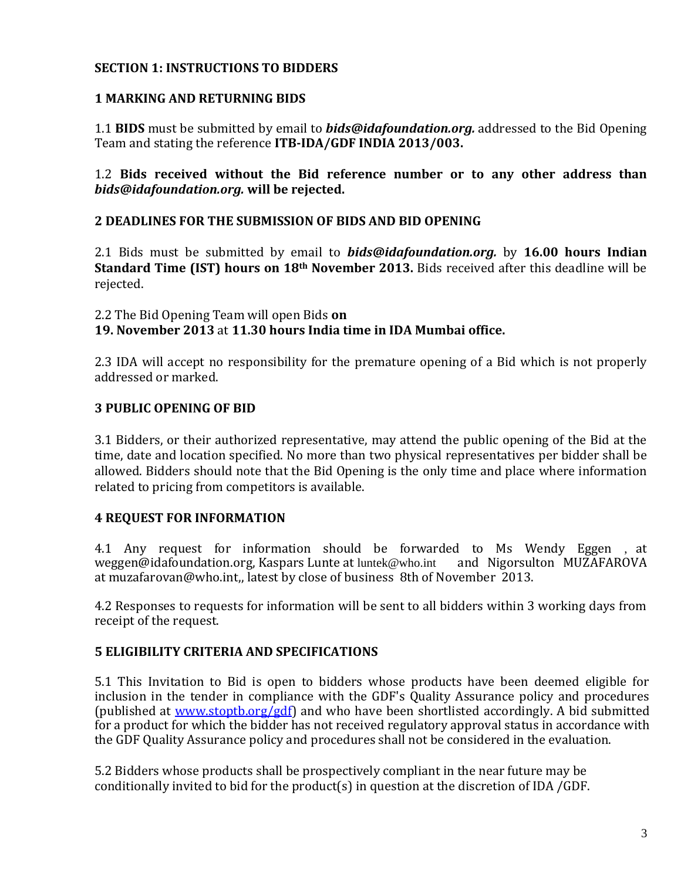## <span id="page-2-0"></span>**SECTION 1: INSTRUCTIONS TO BIDDERS**

### <span id="page-2-1"></span>**1 MARKING AND RETURNING BIDS**

1.1 **BIDS** must be submitted by email to *bids@idafoundation.org.* addressed to the Bid Opening Team and stating the reference **ITB-IDA/GDF INDIA 2013/003.**

### 1.2 **Bids received without the Bid reference number or to any other address than** *bids@idafoundation.org.* **will be rejected.**

#### <span id="page-2-2"></span>**2 DEADLINES FOR THE SUBMISSION OF BIDS AND BID OPENING**

2.1 Bids must be submitted by email to *bids@idafoundation.org.* by **16.00 hours Indian Standard Time (IST) hours on 18th November 2013.** Bids received after this deadline will be rejected.

2.2 The Bid Opening Team will open Bids **on**

**19. November 2013** at **11.30 hours India time in IDA Mumbai office.**

2.3 IDA will accept no responsibility for the premature opening of a Bid which is not properly addressed or marked.

### <span id="page-2-3"></span>**3 PUBLIC OPENING OF BID**

3.1 Bidders, or their authorized representative, may attend the public opening of the Bid at the time, date and location specified. No more than two physical representatives per bidder shall be allowed. Bidders should note that the Bid Opening is the only time and place where information related to pricing from competitors is available.

### <span id="page-2-4"></span>**4 REQUEST FOR INFORMATION**

4.1 Any request for information should be forwarded to Ms Wendy Eggen , at weggen@idafoundation.org, Kaspars Lunte at [luntek@who.int](mailto:luntek@who.int) and Nigorsulton MUZAFAROVA at muzafarovan@who.int,, latest by close of business 8th of November 2013.

4.2 Responses to requests for information will be sent to all bidders within 3 working days from receipt of the request.

### <span id="page-2-5"></span>**5 ELIGIBILITY CRITERIA AND SPECIFICATIONS**

5.1 This Invitation to Bid is open to bidders whose products have been deemed eligible for inclusion in the tender in compliance with the GDF's Quality Assurance policy and procedures (published at [www.stoptb.org/gdf\)](http://www.stoptb.org/gdf) and who have been shortlisted accordingly. A bid submitted for a product for which the bidder has not received regulatory approval status in accordance with the GDF Quality Assurance policy and procedures shall not be considered in the evaluation.

5.2 Bidders whose products shall be prospectively compliant in the near future may be conditionally invited to bid for the product(s) in question at the discretion of IDA /GDF.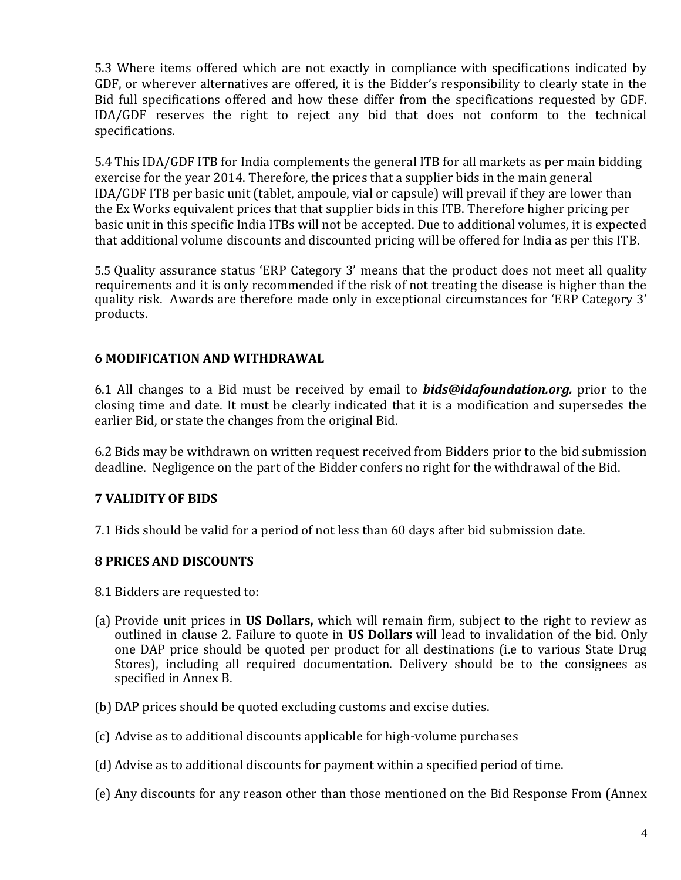5.3 Where items offered which are not exactly in compliance with specifications indicated by GDF, or wherever alternatives are offered, it is the Bidder's responsibility to clearly state in the Bid full specifications offered and how these differ from the specifications requested by GDF. IDA/GDF reserves the right to reject any bid that does not conform to the technical specifications.

5.4 This IDA/GDF ITB for India complements the general ITB for all markets as per main bidding exercise for the year 2014. Therefore, the prices that a supplier bids in the main general IDA/GDF ITB per basic unit (tablet, ampoule, vial or capsule) will prevail if they are lower than the Ex Works equivalent prices that that supplier bids in this ITB. Therefore higher pricing per basic unit in this specific India ITBs will not be accepted. Due to additional volumes, it is expected that additional volume discounts and discounted pricing will be offered for India as per this ITB.

5.5 Quality assurance status 'ERP Category 3' means that the product does not meet all quality requirements and it is only recommended if the risk of not treating the disease is higher than the quality risk. Awards are therefore made only in exceptional circumstances for 'ERP Category 3' products.

## <span id="page-3-0"></span>**6 MODIFICATION AND WITHDRAWAL**

6.1 All changes to a Bid must be received by email to *bids@idafoundation.org.* prior to the closing time and date. It must be clearly indicated that it is a modification and supersedes the earlier Bid, or state the changes from the original Bid.

6.2 Bids may be withdrawn on written request received from Bidders prior to the bid submission deadline. Negligence on the part of the Bidder confers no right for the withdrawal of the Bid.

## <span id="page-3-1"></span>**7 VALIDITY OF BIDS**

7.1 Bids should be valid for a period of not less than 60 days after bid submission date.

## <span id="page-3-2"></span>**8 PRICES AND DISCOUNTS**

- 8.1 Bidders are requested to:
- (a) Provide unit prices in **US Dollars,** which will remain firm, subject to the right to review as outlined in clause 2. Failure to quote in **US Dollars** will lead to invalidation of the bid. Only one DAP price should be quoted per product for all destinations (i.e to various State Drug Stores), including all required documentation. Delivery should be to the consignees as specified in Annex B.
- (b) DAP prices should be quoted excluding customs and excise duties.
- (c) Advise as to additional discounts applicable for high-volume purchases
- (d) Advise as to additional discounts for payment within a specified period of time.
- (e) Any discounts for any reason other than those mentioned on the Bid Response From (Annex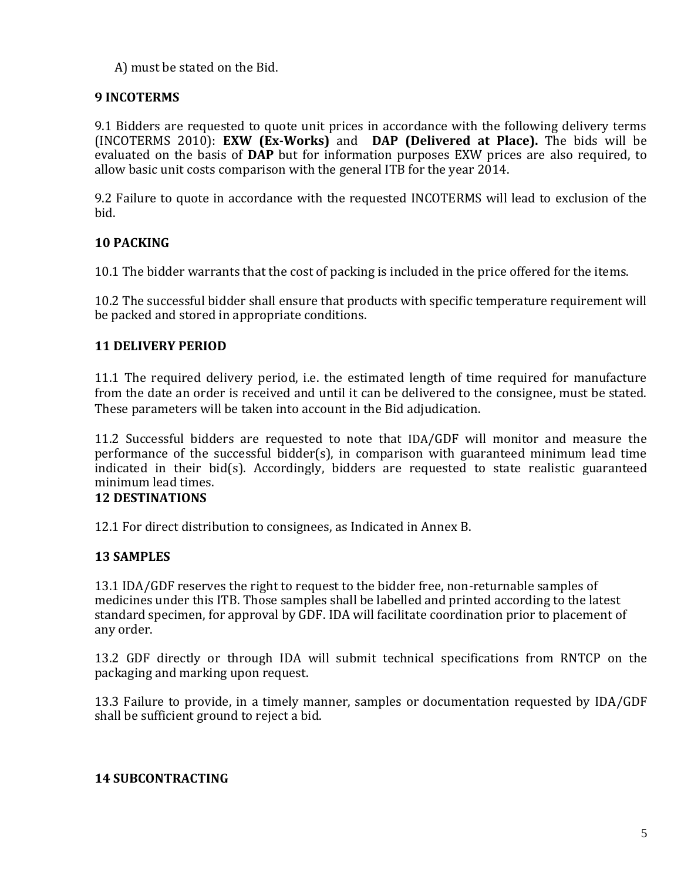A) must be stated on the Bid.

## <span id="page-4-0"></span>**9 INCOTERMS**

9.1 Bidders are requested to quote unit prices in accordance with the following delivery terms (INCOTERMS 2010): **EXW (Ex-Works)** and **DAP (Delivered at Place).** The bids will be evaluated on the basis of **DAP** but for information purposes EXW prices are also required, to allow basic unit costs comparison with the general ITB for the year 2014.

9.2 Failure to quote in accordance with the requested INCOTERMS will lead to exclusion of the bid.

## <span id="page-4-1"></span>**10 PACKING**

10.1 The bidder warrants that the cost of packing is included in the price offered for the items.

10.2 The successful bidder shall ensure that products with specific temperature requirement will be packed and stored in appropriate conditions.

## <span id="page-4-2"></span>**11 DELIVERY PERIOD**

11.1 The required delivery period, i.e. the estimated length of time required for manufacture from the date an order is received and until it can be delivered to the consignee, must be stated. These parameters will be taken into account in the Bid adjudication.

11.2 Successful bidders are requested to note that IDA/GDF will monitor and measure the performance of the successful bidder(s), in comparison with guaranteed minimum lead time indicated in their bid(s). Accordingly, bidders are requested to state realistic guaranteed minimum lead times.

## <span id="page-4-3"></span>**12 DESTINATIONS**

12.1 For direct distribution to consignees, as Indicated in Annex B.

## <span id="page-4-4"></span>**13 SAMPLES**

13.1 IDA/GDF reserves the right to request to the bidder free, non-returnable samples of medicines under this ITB. Those samples shall be labelled and printed according to the latest standard specimen, for approval by GDF. IDA will facilitate coordination prior to placement of any order.

13.2 GDF directly or through IDA will submit technical specifications from RNTCP on the packaging and marking upon request.

13.3 Failure to provide, in a timely manner, samples or documentation requested by IDA/GDF shall be sufficient ground to reject a bid.

## <span id="page-4-5"></span>**14 SUBCONTRACTING**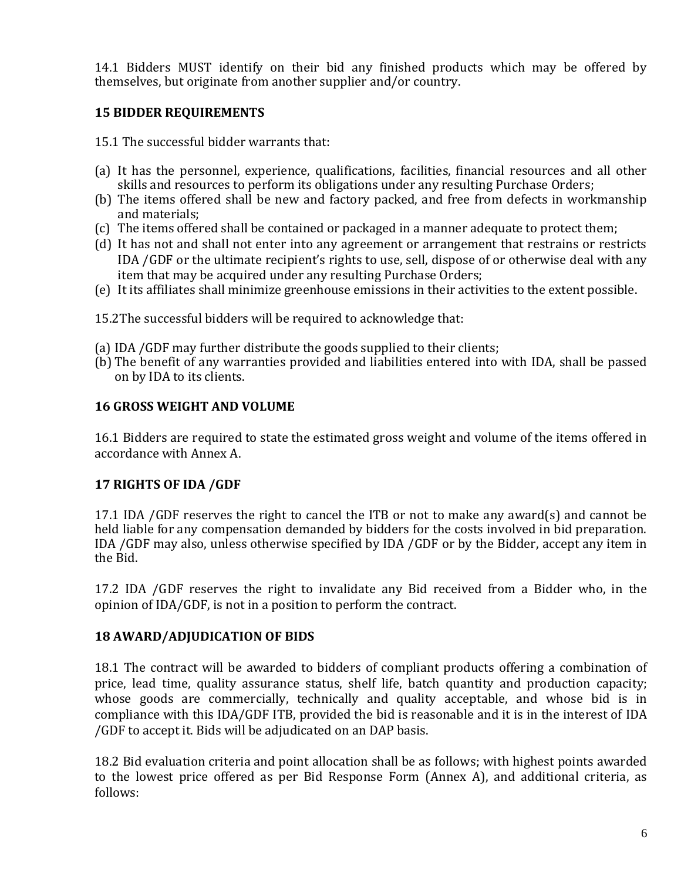14.1 Bidders MUST identify on their bid any finished products which may be offered by themselves, but originate from another supplier and/or country.

## <span id="page-5-0"></span>**15 BIDDER REQUIREMENTS**

15.1 The successful bidder warrants that:

- (a) It has the personnel, experience, qualifications, facilities, financial resources and all other skills and resources to perform its obligations under any resulting Purchase Orders;
- (b) The items offered shall be new and factory packed, and free from defects in workmanship and materials;
- (c) The items offered shall be contained or packaged in a manner adequate to protect them;
- (d) It has not and shall not enter into any agreement or arrangement that restrains or restricts IDA /GDF or the ultimate recipient's rights to use, sell, dispose of or otherwise deal with any item that may be acquired under any resulting Purchase Orders;
- (e) It its affiliates shall minimize greenhouse emissions in their activities to the extent possible.

15.2The successful bidders will be required to acknowledge that:

- (a) IDA /GDF may further distribute the goods supplied to their clients;
- (b) The benefit of any warranties provided and liabilities entered into with IDA, shall be passed on by IDA to its clients.

## <span id="page-5-1"></span>**16 GROSS WEIGHT AND VOLUME**

16.1 Bidders are required to state the estimated gross weight and volume of the items offered in accordance with Annex A.

## <span id="page-5-2"></span>**17 RIGHTS OF IDA /GDF**

17.1 IDA /GDF reserves the right to cancel the ITB or not to make any award(s) and cannot be held liable for any compensation demanded by bidders for the costs involved in bid preparation. IDA /GDF may also, unless otherwise specified by IDA /GDF or by the Bidder, accept any item in the Bid.

17.2 IDA /GDF reserves the right to invalidate any Bid received from a Bidder who, in the opinion of IDA/GDF, is not in a position to perform the contract.

## <span id="page-5-3"></span>**18 AWARD/ADJUDICATION OF BIDS**

18.1 The contract will be awarded to bidders of compliant products offering a combination of price, lead time, quality assurance status, shelf life, batch quantity and production capacity; whose goods are commercially, technically and quality acceptable, and whose bid is in compliance with this IDA/GDF ITB, provided the bid is reasonable and it is in the interest of IDA /GDF to accept it. Bids will be adjudicated on an DAP basis.

18.2 Bid evaluation criteria and point allocation shall be as follows; with highest points awarded to the lowest price offered as per Bid Response Form (Annex A), and additional criteria, as follows: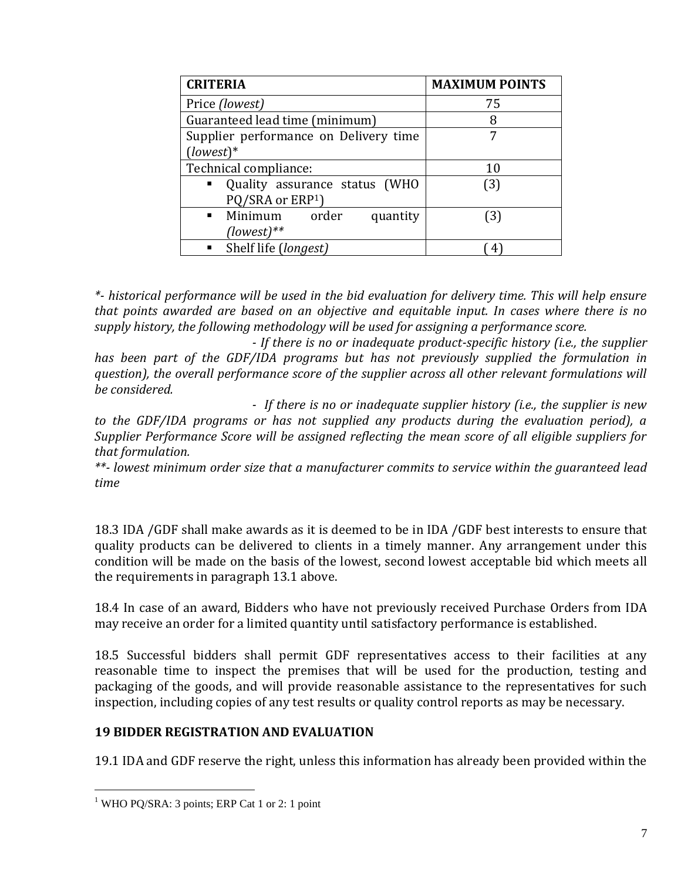| <b>CRITERIA</b>                             | <b>MAXIMUM POINTS</b> |
|---------------------------------------------|-----------------------|
| Price (lowest)                              | 75                    |
| Guaranteed lead time (minimum)              | 8                     |
| Supplier performance on Delivery time       |                       |
| $[lowest]*$                                 |                       |
| Technical compliance:                       | 10                    |
| Quality assurance status (WHO<br>п.         | (3)                   |
| PQ/SRA or ERP1)                             |                       |
| Minimum order<br>$\blacksquare$<br>quantity | (3)                   |
| $(lowest)**$                                |                       |
| Shelf life (longest)                        |                       |

*\*- historical performance will be used in the bid evaluation for delivery time. This will help ensure that points awarded are based on an objective and equitable input. In cases where there is no supply history, the following methodology will be used for assigning a performance score.*

*- If there is no or inadequate product-specific history (i.e., the supplier has been part of the GDF/IDA programs but has not previously supplied the formulation in question), the overall performance score of the supplier across all other relevant formulations will be considered.*

*- If there is no or inadequate supplier history (i.e., the supplier is new* 

*to the GDF/IDA programs or has not supplied any products during the evaluation period), a Supplier Performance Score will be assigned reflecting the mean score of all eligible suppliers for that formulation.*

*\*\*- lowest minimum order size that a manufacturer commits to service within the guaranteed lead time*

18.3 IDA /GDF shall make awards as it is deemed to be in IDA /GDF best interests to ensure that quality products can be delivered to clients in a timely manner. Any arrangement under this condition will be made on the basis of the lowest, second lowest acceptable bid which meets all the requirements in paragraph 13.1 above.

18.4 In case of an award, Bidders who have not previously received Purchase Orders from IDA may receive an order for a limited quantity until satisfactory performance is established.

18.5 Successful bidders shall permit GDF representatives access to their facilities at any reasonable time to inspect the premises that will be used for the production, testing and packaging of the goods, and will provide reasonable assistance to the representatives for such inspection, including copies of any test results or quality control reports as may be necessary.

### <span id="page-6-0"></span>**19 BIDDER REGISTRATION AND EVALUATION**

19.1 IDA and GDF reserve the right, unless this information has already been provided within the

<sup>&</sup>lt;sup>1</sup> WHO PQ/SRA: 3 points; ERP Cat 1 or 2: 1 point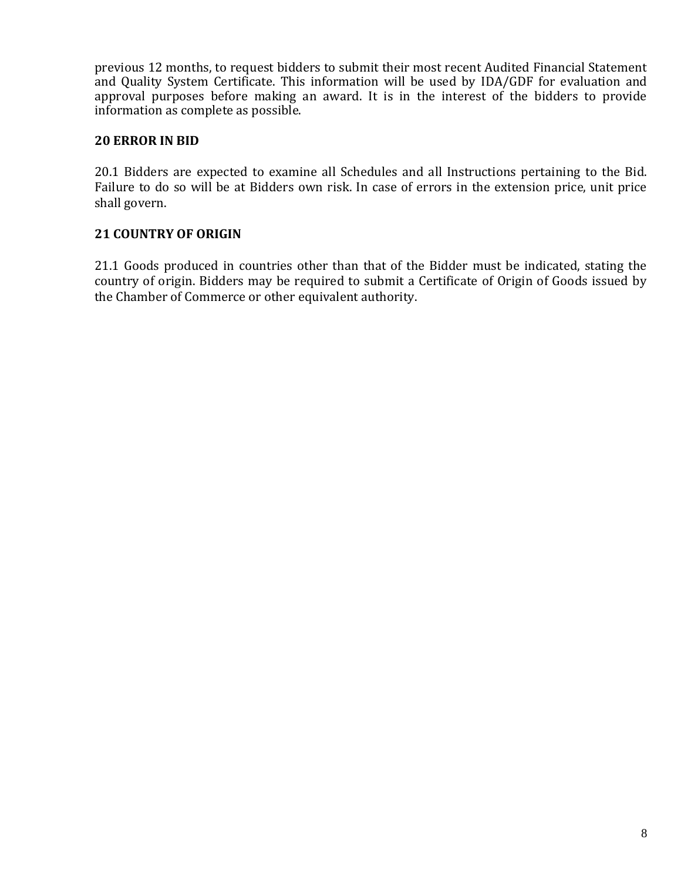previous 12 months, to request bidders to submit their most recent Audited Financial Statement and Quality System Certificate. This information will be used by IDA/GDF for evaluation and approval purposes before making an award. It is in the interest of the bidders to provide information as complete as possible.

## <span id="page-7-0"></span>**20 ERROR IN BID**

20.1 Bidders are expected to examine all Schedules and all Instructions pertaining to the Bid. Failure to do so will be at Bidders own risk. In case of errors in the extension price, unit price shall govern.

## <span id="page-7-1"></span>**21 COUNTRY OF ORIGIN**

21.1 Goods produced in countries other than that of the Bidder must be indicated, stating the country of origin. Bidders may be required to submit a Certificate of Origin of Goods issued by the Chamber of Commerce or other equivalent authority.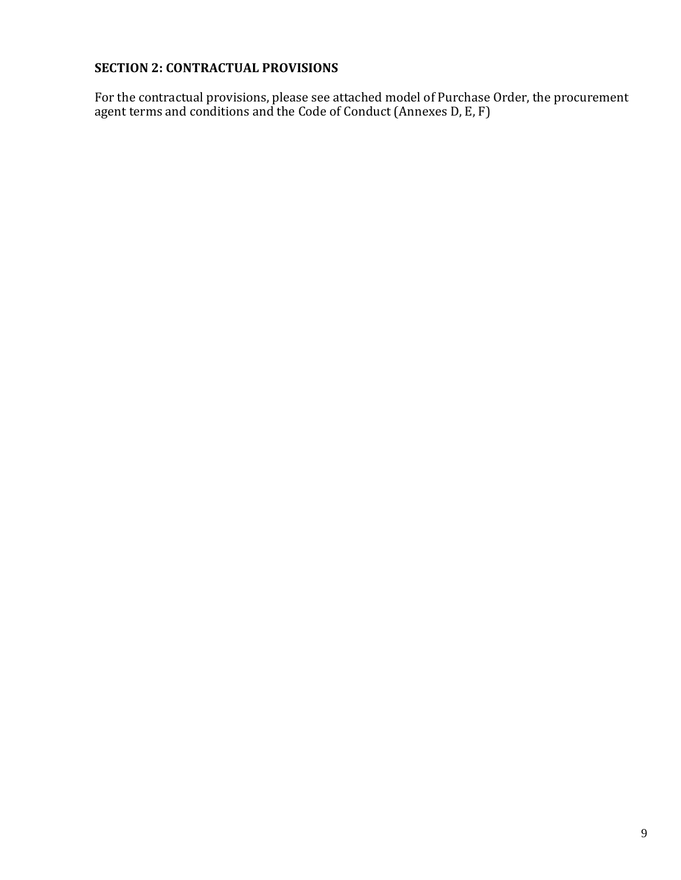## <span id="page-8-0"></span>**SECTION 2: CONTRACTUAL PROVISIONS**

For the contractual provisions, please see attached model of Purchase Order, the procurement agent terms and conditions and the Code of Conduct (Annexes D, E, F)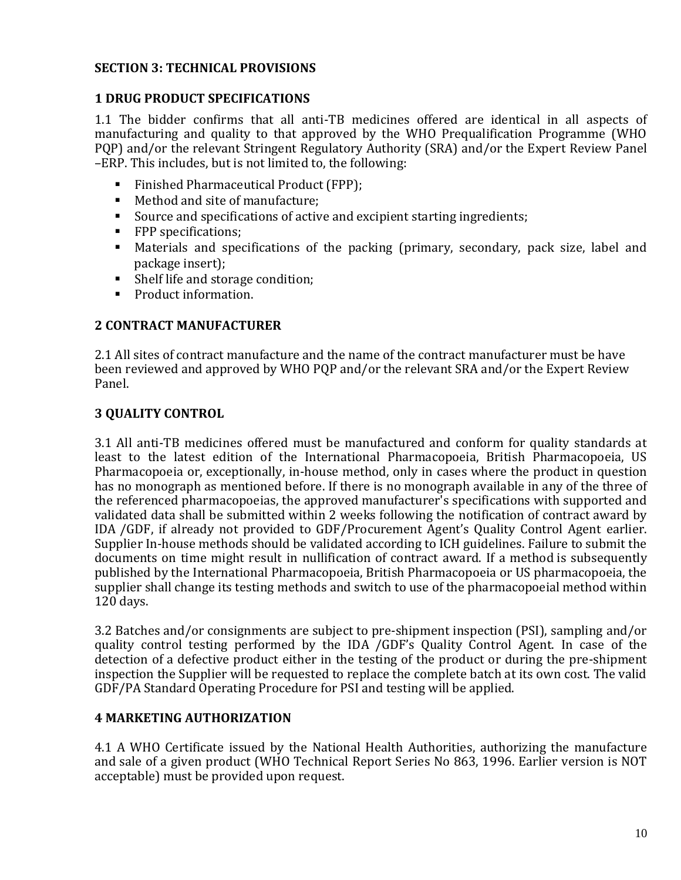## <span id="page-9-0"></span>**SECTION 3: TECHNICAL PROVISIONS**

## <span id="page-9-1"></span>**1 DRUG PRODUCT SPECIFICATIONS**

1.1 The bidder confirms that all anti-TB medicines offered are identical in all aspects of manufacturing and quality to that approved by the WHO Prequalification Programme (WHO PQP) and/or the relevant Stringent Regulatory Authority (SRA) and/or the Expert Review Panel –ERP. This includes, but is not limited to, the following:

- Finished Pharmaceutical Product (FPP);
- Method and site of manufacture;
- Source and specifications of active and excipient starting ingredients;
- FPP specifications;
- Materials and specifications of the packing (primary, secondary, pack size, label and package insert);
- Shelf life and storage condition;
- Product information.

## <span id="page-9-2"></span>**2 CONTRACT MANUFACTURER**

2.1 All sites of contract manufacture and the name of the contract manufacturer must be have been reviewed and approved by WHO PQP and/or the relevant SRA and/or the Expert Review Panel.

## <span id="page-9-3"></span>**3 QUALITY CONTROL**

3.1 All anti-TB medicines offered must be manufactured and conform for quality standards at least to the latest edition of the International Pharmacopoeia, British Pharmacopoeia, US Pharmacopoeia or, exceptionally, in-house method, only in cases where the product in question has no monograph as mentioned before. If there is no monograph available in any of the three of the referenced pharmacopoeias, the approved manufacturer's specifications with supported and validated data shall be submitted within 2 weeks following the notification of contract award by IDA /GDF, if already not provided to GDF/Procurement Agent's Quality Control Agent earlier. Supplier In-house methods should be validated according to ICH guidelines. Failure to submit the documents on time might result in nullification of contract award. If a method is subsequently published by the International Pharmacopoeia, British Pharmacopoeia or US pharmacopoeia, the supplier shall change its testing methods and switch to use of the pharmacopoeial method within 120 days.

3.2 Batches and/or consignments are subject to pre-shipment inspection (PSI), sampling and/or quality control testing performed by the IDA /GDF's Quality Control Agent. In case of the detection of a defective product either in the testing of the product or during the pre-shipment inspection the Supplier will be requested to replace the complete batch at its own cost. The valid GDF/PA Standard Operating Procedure for PSI and testing will be applied.

### <span id="page-9-4"></span>**4 MARKETING AUTHORIZATION**

4.1 A WHO Certificate issued by the National Health Authorities, authorizing the manufacture and sale of a given product (WHO Technical Report Series No 863, 1996. Earlier version is NOT acceptable) must be provided upon request.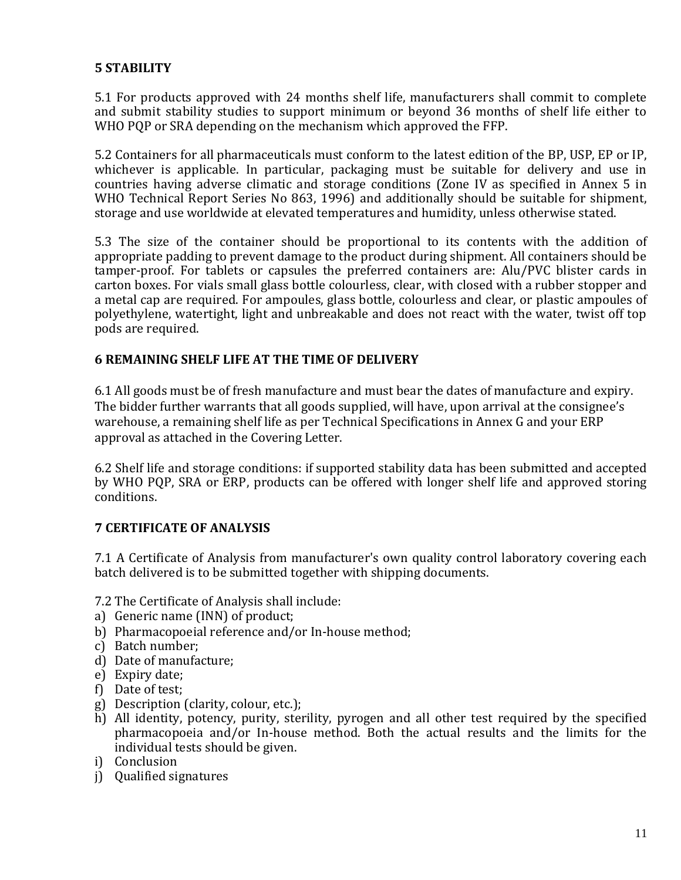## <span id="page-10-0"></span>**5 STABILITY**

5.1 For products approved with 24 months shelf life, manufacturers shall commit to complete and submit stability studies to support minimum or beyond 36 months of shelf life either to WHO PQP or SRA depending on the mechanism which approved the FFP.

5.2 Containers for all pharmaceuticals must conform to the latest edition of the BP, USP, EP or IP, whichever is applicable. In particular, packaging must be suitable for delivery and use in countries having adverse climatic and storage conditions (Zone IV as specified in Annex 5 in WHO Technical Report Series No 863, 1996) and additionally should be suitable for shipment, storage and use worldwide at elevated temperatures and humidity, unless otherwise stated.

5.3 The size of the container should be proportional to its contents with the addition of appropriate padding to prevent damage to the product during shipment. All containers should be tamper-proof. For tablets or capsules the preferred containers are: Alu/PVC blister cards in carton boxes. For vials small glass bottle colourless, clear, with closed with a rubber stopper and a metal cap are required. For ampoules, glass bottle, colourless and clear, or plastic ampoules of polyethylene, watertight, light and unbreakable and does not react with the water, twist off top pods are required.

## <span id="page-10-1"></span>**6 REMAINING SHELF LIFE AT THE TIME OF DELIVERY**

6.1 All goods must be of fresh manufacture and must bear the dates of manufacture and expiry. The bidder further warrants that all goods supplied, will have, upon arrival at the consignee's warehouse, a remaining shelf life as per Technical Specifications in Annex G and your ERP approval as attached in the Covering Letter.

6.2 Shelf life and storage conditions: if supported stability data has been submitted and accepted by WHO PQP, SRA or ERP, products can be offered with longer shelf life and approved storing conditions.

### <span id="page-10-2"></span>**7 CERTIFICATE OF ANALYSIS**

7.1 A Certificate of Analysis from manufacturer's own quality control laboratory covering each batch delivered is to be submitted together with shipping documents.

7.2 The Certificate of Analysis shall include:

- a) Generic name (INN) of product;
- b) Pharmacopoeial reference and/or In-house method;
- c) Batch number;
- d) Date of manufacture;
- e) Expiry date;
- f) Date of test;
- g) Description (clarity, colour, etc.);
- h) All identity, potency, purity, sterility, pyrogen and all other test required by the specified pharmacopoeia and/or In-house method. Both the actual results and the limits for the individual tests should be given.
- i) Conclusion
- j) Qualified signatures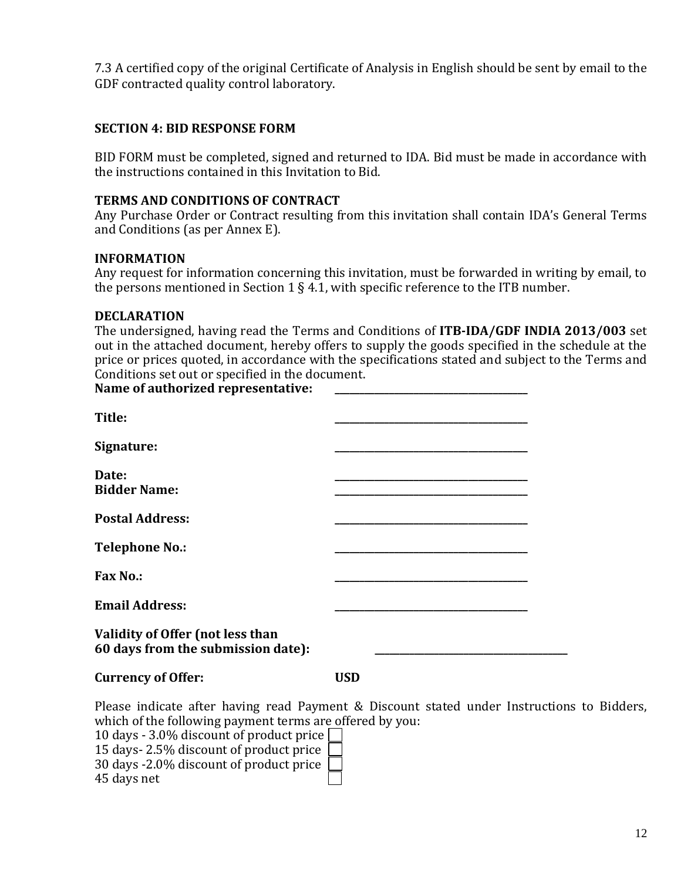7.3 A certified copy of the original Certificate of Analysis in English should be sent by email to the GDF contracted quality control laboratory.

#### <span id="page-11-0"></span>**SECTION 4: BID RESPONSE FORM**

BID FORM must be completed, signed and returned to IDA. Bid must be made in accordance with the instructions contained in this Invitation to Bid.

#### **TERMS AND CONDITIONS OF CONTRACT**

Any Purchase Order or Contract resulting from this invitation shall contain IDA's General Terms and Conditions (as per Annex E).

#### **INFORMATION**

Any request for information concerning this invitation, must be forwarded in writing by email, to the persons mentioned in Section 1 § 4.1, with specific reference to the ITB number.

#### **DECLARATION**

The undersigned, having read the Terms and Conditions of **ITB-IDA/GDF INDIA 2013/003** set out in the attached document, hereby offers to supply the goods specified in the schedule at the price or prices quoted, in accordance with the specifications stated and subject to the Terms and Conditions set out or specified in the document. Name of authorized representative:

| Title:                                  |  |
|-----------------------------------------|--|
|                                         |  |
| Signature:                              |  |
| Date:                                   |  |
| <b>Bidder Name:</b>                     |  |
|                                         |  |
| <b>Postal Address:</b>                  |  |
|                                         |  |
| <b>Telephone No.:</b>                   |  |
| <b>Fax No.:</b>                         |  |
|                                         |  |
| <b>Email Address:</b>                   |  |
|                                         |  |
| <b>Validity of Offer (not less than</b> |  |
| 60 days from the submission date):      |  |
|                                         |  |

#### **Currency of Offer: USD**

Please indicate after having read Payment & Discount stated under Instructions to Bidders, which of the following payment terms are offered by you:

10 days - 3.0% discount of product price 15 days- 2.5% discount of product price 30 days -2.0% discount of product price

45 days net